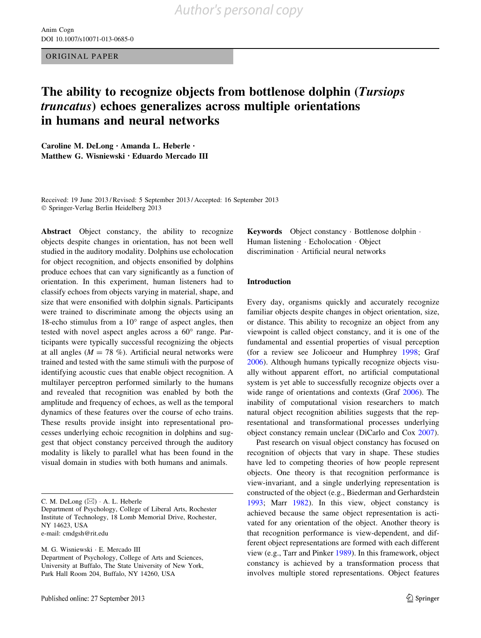ORIGINAL PAPER

# The ability to recognize objects from bottlenose dolphin (Tursiops truncatus) echoes generalizes across multiple orientations in humans and neural networks

Caroline M. DeLong • Amanda L. Heberle • Matthew G. Wisniewski • Eduardo Mercado III

Received: 19 June 2013 / Revised: 5 September 2013 / Accepted: 16 September 2013  $© Springer-Verlag Berlin Heidelberg 2013$ 

Abstract Object constancy, the ability to recognize objects despite changes in orientation, has not been well studied in the auditory modality. Dolphins use echolocation for object recognition, and objects ensonified by dolphins produce echoes that can vary significantly as a function of orientation. In this experiment, human listeners had to classify echoes from objects varying in material, shape, and size that were ensonified with dolphin signals. Participants were trained to discriminate among the objects using an 18-echo stimulus from a  $10^{\circ}$  range of aspect angles, then tested with novel aspect angles across a  $60^{\circ}$  range. Participants were typically successful recognizing the objects at all angles ( $M = 78$ %). Artificial neural networks were trained and tested with the same stimuli with the purpose of identifying acoustic cues that enable object recognition. A multilayer perceptron performed similarly to the humans and revealed that recognition was enabled by both the amplitude and frequency of echoes, as well as the temporal dynamics of these features over the course of echo trains. These results provide insight into representational processes underlying echoic recognition in dolphins and suggest that object constancy perceived through the auditory modality is likely to parallel what has been found in the visual domain in studies with both humans and animals.

C. M. DeLong  $(\boxtimes)$   $\cdot$  A. L. Heberle Department of Psychology, College of Liberal Arts, Rochester Institute of Technology, 18 Lomb Memorial Drive, Rochester, NY 14623, USA e-mail: cmdgsh@rit.edu

M. G. Wisniewski · E. Mercado III Department of Psychology, College of Arts and Sciences, University at Buffalo, The State University of New York, Park Hall Room 204, Buffalo, NY 14260, USA

Keywords Object constancy · Bottlenose dolphin · Human listening · Echolocation · Object discrimination ! Artificial neural networks

# Introduction

Every day, organisms quickly and accurately recognize familiar objects despite changes in object orientation, size, or distance. This ability to recognize an object from any viewpoint is called object constancy, and it is one of the fundamental and essential properties of visual perception (for a review see Jolicoeur and Humphrey [1998;](#page-14-0) Graf [2006](#page-14-0)). Although humans typically recognize objects visually without apparent effort, no artificial computational system is yet able to successfully recognize objects over a wide range of orientations and contexts (Graf [2006](#page-14-0)). The inability of computational vision researchers to match natural object recognition abilities suggests that the representational and transformational processes underlying object constancy remain unclear (DiCarlo and Cox [2007\)](#page-14-0).

Past research on visual object constancy has focused on recognition of objects that vary in shape. These studies have led to competing theories of how people represent objects. One theory is that recognition performance is view-invariant, and a single underlying representation is constructed of the object (e.g., Biederman and Gerhardstein [1993](#page-13-0); Marr [1982](#page-14-0)). In this view, object constancy is achieved because the same object representation is activated for any orientation of the object. Another theory is that recognition performance is view-dependent, and different object representations are formed with each different view (e.g., Tarr and Pinker [1989](#page-14-0)). In this framework, object constancy is achieved by a transformation process that involves multiple stored representations. Object features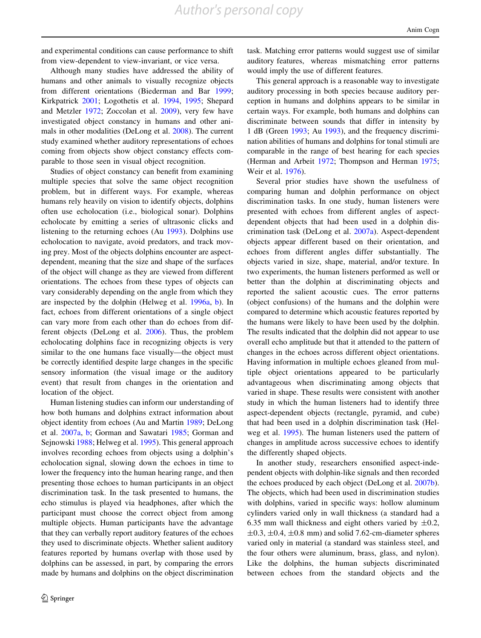and experimental conditions can cause performance to shift from view-dependent to view-invariant, or vice versa.

Although many studies have addressed the ability of humans and other animals to visually recognize objects from different orientations (Biederman and Bar [1999](#page-13-0); Kirkpatrick [2001;](#page-14-0) Logothetis et al. [1994](#page-14-0), [1995](#page-14-0); Shepard and Metzler [1972](#page-14-0); Zoccolan et al. [2009](#page-14-0)), very few have investigated object constancy in humans and other animals in other modalities (DeLong et al. [2008\)](#page-14-0). The current study examined whether auditory representations of echoes coming from objects show object constancy effects comparable to those seen in visual object recognition.

Studies of object constancy can benefit from examining multiple species that solve the same object recognition problem, but in different ways. For example, whereas humans rely heavily on vision to identify objects, dolphins often use echolocation (i.e., biological sonar). Dolphins echolocate by emitting a series of ultrasonic clicks and listening to the returning echoes (Au [1993](#page-13-0)). Dolphins use echolocation to navigate, avoid predators, and track moving prey. Most of the objects dolphins encounter are aspectdependent, meaning that the size and shape of the surfaces of the object will change as they are viewed from different orientations. The echoes from these types of objects can vary considerably depending on the angle from which they are inspected by the dolphin (Helweg et al. [1996a,](#page-14-0) [b](#page-14-0)). In fact, echoes from different orientations of a single object can vary more from each other than do echoes from different objects (DeLong et al. [2006](#page-13-0)). Thus, the problem echolocating dolphins face in recognizing objects is very similar to the one humans face visually—the object must be correctly identified despite large changes in the specific sensory information (the visual image or the auditory event) that result from changes in the orientation and location of the object.

Human listening studies can inform our understanding of how both humans and dolphins extract information about object identity from echoes (Au and Martin [1989;](#page-13-0) DeLong et al. [2007a](#page-13-0), [b](#page-13-0); Gorman and Sawatari [1985;](#page-14-0) Gorman and Sejnowski [1988;](#page-14-0) Helweg et al. [1995](#page-14-0)). This general approach involves recording echoes from objects using a dolphin's echolocation signal, slowing down the echoes in time to lower the frequency into the human hearing range, and then presenting those echoes to human participants in an object discrimination task. In the task presented to humans, the echo stimulus is played via headphones, after which the participant must choose the correct object from among multiple objects. Human participants have the advantage that they can verbally report auditory features of the echoes they used to discriminate objects. Whether salient auditory features reported by humans overlap with those used by dolphins can be assessed, in part, by comparing the errors made by humans and dolphins on the object discrimination

task. Matching error patterns would suggest use of similar auditory features, whereas mismatching error patterns would imply the use of different features.

This general approach is a reasonable way to investigate auditory processing in both species because auditory perception in humans and dolphins appears to be similar in certain ways. For example, both humans and dolphins can discriminate between sounds that differ in intensity by 1 dB (Green [1993](#page-14-0); Au [1993](#page-13-0)), and the frequency discrimination abilities of humans and dolphins for tonal stimuli are comparable in the range of best hearing for each species (Herman and Arbeit [1972;](#page-14-0) Thompson and Herman [1975](#page-14-0); Weir et al. [1976](#page-14-0)).

Several prior studies have shown the usefulness of comparing human and dolphin performance on object discrimination tasks. In one study, human listeners were presented with echoes from different angles of aspectdependent objects that had been used in a dolphin discrimination task (DeLong et al. [2007a\)](#page-13-0). Aspect-dependent objects appear different based on their orientation, and echoes from different angles differ substantially. The objects varied in size, shape, material, and/or texture. In two experiments, the human listeners performed as well or better than the dolphin at discriminating objects and reported the salient acoustic cues. The error patterns (object confusions) of the humans and the dolphin were compared to determine which acoustic features reported by the humans were likely to have been used by the dolphin. The results indicated that the dolphin did not appear to use overall echo amplitude but that it attended to the pattern of changes in the echoes across different object orientations. Having information in multiple echoes gleaned from multiple object orientations appeared to be particularly advantageous when discriminating among objects that varied in shape. These results were consistent with another study in which the human listeners had to identify three aspect-dependent objects (rectangle, pyramid, and cube) that had been used in a dolphin discrimination task (Helweg et al. [1995](#page-14-0)). The human listeners used the pattern of changes in amplitude across successive echoes to identify the differently shaped objects.

In another study, researchers ensonified aspect-independent objects with dolphin-like signals and then recorded the echoes produced by each object (DeLong et al. [2007b](#page-13-0)). The objects, which had been used in discrimination studies with dolphins, varied in specific ways: hollow aluminum cylinders varied only in wall thickness (a standard had a 6.35 mm wall thickness and eight others varied by  $\pm 0.2$ ,  $\pm 0.3$ ,  $\pm 0.4$ ,  $\pm 0.8$  mm) and solid 7.62-cm-diameter spheres varied only in material (a standard was stainless steel, and the four others were aluminum, brass, glass, and nylon). Like the dolphins, the human subjects discriminated between echoes from the standard objects and the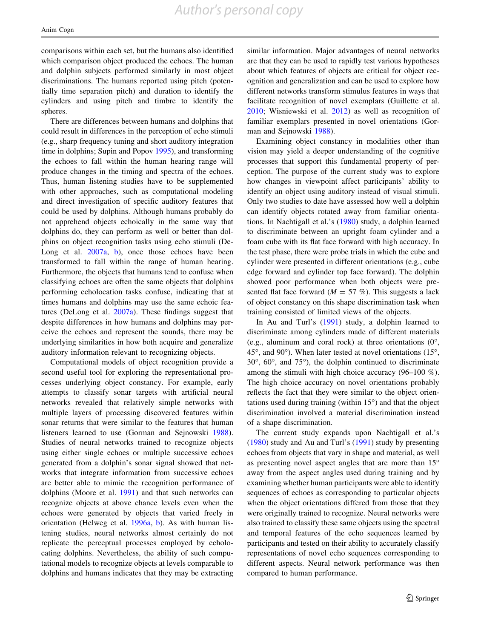comparisons within each set, but the humans also identified which comparison object produced the echoes. The human and dolphin subjects performed similarly in most object discriminations. The humans reported using pitch (potentially time separation pitch) and duration to identify the cylinders and using pitch and timbre to identify the spheres.

There are differences between humans and dolphins that could result in differences in the perception of echo stimuli (e.g., sharp frequency tuning and short auditory integration time in dolphins; Supin and Popov [1995](#page-14-0)), and transforming the echoes to fall within the human hearing range will produce changes in the timing and spectra of the echoes. Thus, human listening studies have to be supplemented with other approaches, such as computational modeling and direct investigation of specific auditory features that could be used by dolphins. Although humans probably do not apprehend objects echoically in the same way that dolphins do, they can perform as well or better than dolphins on object recognition tasks using echo stimuli (De-Long et al. [2007a,](#page-13-0) [b](#page-13-0)), once those echoes have been transformed to fall within the range of human hearing. Furthermore, the objects that humans tend to confuse when classifying echoes are often the same objects that dolphins performing echolocation tasks confuse, indicating that at times humans and dolphins may use the same echoic features (DeLong et al. [2007a](#page-13-0)). These findings suggest that despite differences in how humans and dolphins may perceive the echoes and represent the sounds, there may be underlying similarities in how both acquire and generalize auditory information relevant to recognizing objects.

Computational models of object recognition provide a second useful tool for exploring the representational processes underlying object constancy. For example, early attempts to classify sonar targets with artificial neural networks revealed that relatively simple networks with multiple layers of processing discovered features within sonar returns that were similar to the features that human listeners learned to use (Gorman and Sejnowski [1988](#page-14-0)). Studies of neural networks trained to recognize objects using either single echoes or multiple successive echoes generated from a dolphin's sonar signal showed that networks that integrate information from successive echoes are better able to mimic the recognition performance of dolphins (Moore et al. [1991\)](#page-14-0) and that such networks can recognize objects at above chance levels even when the echoes were generated by objects that varied freely in orientation (Helweg et al. [1996a,](#page-14-0) [b](#page-14-0)). As with human listening studies, neural networks almost certainly do not replicate the perceptual processes employed by echolocating dolphins. Nevertheless, the ability of such computational models to recognize objects at levels comparable to dolphins and humans indicates that they may be extracting similar information. Major advantages of neural networks are that they can be used to rapidly test various hypotheses about which features of objects are critical for object recognition and generalization and can be used to explore how different networks transform stimulus features in ways that facilitate recognition of novel exemplars (Guillette et al. [2010](#page-14-0); Wisniewski et al. [2012\)](#page-14-0) as well as recognition of familiar exemplars presented in novel orientations (Gorman and Sejnowski [1988](#page-14-0)).

Examining object constancy in modalities other than vision may yield a deeper understanding of the cognitive processes that support this fundamental property of perception. The purpose of the current study was to explore how changes in viewpoint affect participants' ability to identify an object using auditory instead of visual stimuli. Only two studies to date have assessed how well a dolphin can identify objects rotated away from familiar orientations. In Nachtigall et al.'s [\(1980](#page-14-0)) study, a dolphin learned to discriminate between an upright foam cylinder and a foam cube with its flat face forward with high accuracy. In the test phase, there were probe trials in which the cube and cylinder were presented in different orientations (e.g., cube edge forward and cylinder top face forward). The dolphin showed poor performance when both objects were presented flat face forward ( $M = 57$  %). This suggests a lack of object constancy on this shape discrimination task when training consisted of limited views of the objects.

In Au and Turl's ([1991\)](#page-13-0) study, a dolphin learned to discriminate among cylinders made of different materials (e.g., aluminum and coral rock) at three orientations  $(0^{\circ})$ , 45 $^{\circ}$ , and 90 $^{\circ}$ ). When later tested at novel orientations (15 $^{\circ}$ ,  $30^{\circ}$ ,  $60^{\circ}$ , and  $75^{\circ}$ ), the dolphin continued to discriminate among the stimuli with high choice accuracy (96–100 %). The high choice accuracy on novel orientations probably reflects the fact that they were similar to the object orientations used during training (within 15") and that the object discrimination involved a material discrimination instead of a shape discrimination.

The current study expands upon Nachtigall et al.'s [\(1980](#page-14-0)) study and Au and Turl's ([1991\)](#page-13-0) study by presenting echoes from objects that vary in shape and material, as well as presenting novel aspect angles that are more than  $15^{\circ}$ away from the aspect angles used during training and by examining whether human participants were able to identify sequences of echoes as corresponding to particular objects when the object orientations differed from those that they were originally trained to recognize. Neural networks were also trained to classify these same objects using the spectral and temporal features of the echo sequences learned by participants and tested on their ability to accurately classify representations of novel echo sequences corresponding to different aspects. Neural network performance was then compared to human performance.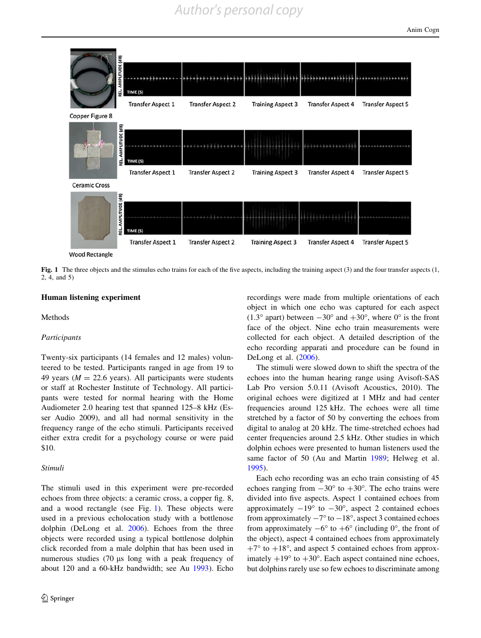

Fig. 1 The three objects and the stimulus echo trains for each of the five aspects, including the training aspect (3) and the four transfer aspects (1, 2, 4, and 5)

## Human listening experiment

Methods

#### Participants

Twenty-six participants (14 females and 12 males) volunteered to be tested. Participants ranged in age from 19 to 49 years ( $M = 22.6$  years). All participants were students or staff at Rochester Institute of Technology. All participants were tested for normal hearing with the Home Audiometer 2.0 hearing test that spanned 125–8 kHz (Esser Audio 2009), and all had normal sensitivity in the frequency range of the echo stimuli. Participants received either extra credit for a psychology course or were paid \$10.

# Stimuli

<span id="page-3-0"></span>The stimuli used in this experiment were pre-recorded echoes from three objects: a ceramic cross, a copper fig. 8, and a wood rectangle (see Fig. [1\)](#page-3-0). These objects were used in a previous echolocation study with a bottlenose dolphin (DeLong et al. [2006\)](#page-13-0). Echoes from the three objects were recorded using a typical bottlenose dolphin click recorded from a male dolphin that has been used in numerous studies (70 µs long with a peak frequency of about 120 and a 60-kHz bandwidth; see Au [1993\)](#page-13-0). Echo recordings were made from multiple orientations of each object in which one echo was captured for each aspect  $(1.3^{\circ}$  apart) between  $-30^{\circ}$  and  $+30^{\circ}$ , where 0° is the front face of the object. Nine echo train measurements were collected for each object. A detailed description of the echo recording apparati and procedure can be found in DeLong et al. [\(2006](#page-13-0)).

The stimuli were slowed down to shift the spectra of the echoes into the human hearing range using Avisoft-SAS Lab Pro version 5.0.11 (Avisoft Acoustics, 2010). The original echoes were digitized at 1 MHz and had center frequencies around 125 kHz. The echoes were all time stretched by a factor of 50 by converting the echoes from digital to analog at 20 kHz. The time-stretched echoes had center frequencies around 2.5 kHz. Other studies in which dolphin echoes were presented to human listeners used the same factor of 50 (Au and Martin [1989;](#page-13-0) Helweg et al. [1995](#page-14-0)).

Each echo recording was an echo train consisting of 45 echoes ranging from  $-30^{\circ}$  to  $+30^{\circ}$ . The echo trains were divided into five aspects. Aspect 1 contained echoes from approximately  $-19^{\circ}$  to  $-30^{\circ}$ , aspect 2 contained echoes from approximately  $-7^\circ$  to  $-18^\circ$ , aspect 3 contained echoes from approximately  $-6^{\circ}$  to  $+6^{\circ}$  (including 0°, the front of the object), aspect 4 contained echoes from approximately  $+7^{\circ}$  to  $+18^{\circ}$ , and aspect 5 contained echoes from approximately  $+19^{\circ}$  to  $+30^{\circ}$ . Each aspect contained nine echoes, but dolphins rarely use so few echoes to discriminate among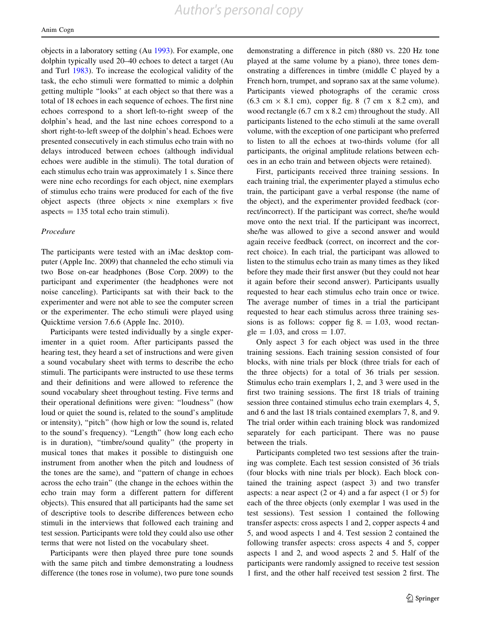objects in a laboratory setting (Au [1993\)](#page-13-0). For example, one dolphin typically used 20–40 echoes to detect a target (Au and Turl [1983\)](#page-13-0). To increase the ecological validity of the task, the echo stimuli were formatted to mimic a dolphin getting multiple ''looks'' at each object so that there was a total of 18 echoes in each sequence of echoes. The first nine echoes correspond to a short left-to-right sweep of the dolphin's head, and the last nine echoes correspond to a short right-to-left sweep of the dolphin's head. Echoes were presented consecutively in each stimulus echo train with no delays introduced between echoes (although individual echoes were audible in the stimuli). The total duration of each stimulus echo train was approximately 1 s. Since there were nine echo recordings for each object, nine exemplars of stimulus echo trains were produced for each of the five object aspects (three objects  $\times$  nine exemplars  $\times$  five  $a$ spects  $= 135$  total echo train stimuli).

# Procedure

The participants were tested with an iMac desktop computer (Apple Inc. 2009) that channeled the echo stimuli via two Bose on-ear headphones (Bose Corp. 2009) to the participant and experimenter (the headphones were not noise canceling). Participants sat with their back to the experimenter and were not able to see the computer screen or the experimenter. The echo stimuli were played using Quicktime version 7.6.6 (Apple Inc. 2010).

Participants were tested individually by a single experimenter in a quiet room. After participants passed the hearing test, they heard a set of instructions and were given a sound vocabulary sheet with terms to describe the echo stimuli. The participants were instructed to use these terms and their definitions and were allowed to reference the sound vocabulary sheet throughout testing. Five terms and their operational definitions were given: ''loudness'' (how loud or quiet the sound is, related to the sound's amplitude or intensity), ''pitch'' (how high or low the sound is, related to the sound's frequency). ''Length'' (how long each echo is in duration), "timbre/sound quality" (the property in musical tones that makes it possible to distinguish one instrument from another when the pitch and loudness of the tones are the same), and ''pattern of change in echoes across the echo train'' (the change in the echoes within the echo train may form a different pattern for different objects). This ensured that all participants had the same set of descriptive tools to describe differences between echo stimuli in the interviews that followed each training and test session. Participants were told they could also use other terms that were not listed on the vocabulary sheet.

Participants were then played three pure tone sounds with the same pitch and timbre demonstrating a loudness difference (the tones rose in volume), two pure tone sounds demonstrating a difference in pitch (880 vs. 220 Hz tone played at the same volume by a piano), three tones demonstrating a differences in timbre (middle C played by a French horn, trumpet, and soprano sax at the same volume). Participants viewed photographs of the ceramic cross  $(6.3 \text{ cm} \times 8.1 \text{ cm})$ , copper fig. 8 (7 cm x 8.2 cm), and wood rectangle (6.7 cm x 8.2 cm) throughout the study. All participants listened to the echo stimuli at the same overall volume, with the exception of one participant who preferred to listen to all the echoes at two-thirds volume (for all participants, the original amplitude relations between echoes in an echo train and between objects were retained).

First, participants received three training sessions. In each training trial, the experimenter played a stimulus echo train, the participant gave a verbal response (the name of the object), and the experimenter provided feedback (correct/incorrect). If the participant was correct, she/he would move onto the next trial. If the participant was incorrect, she/he was allowed to give a second answer and would again receive feedback (correct, on incorrect and the correct choice). In each trial, the participant was allowed to listen to the stimulus echo train as many times as they liked before they made their first answer (but they could not hear it again before their second answer). Participants usually requested to hear each stimulus echo train once or twice. The average number of times in a trial the participant requested to hear each stimulus across three training sessions is as follows: copper fig  $8 = 1.03$ , wood rectangle  $= 1.03$ , and cross  $= 1.07$ .

Only aspect 3 for each object was used in the three training sessions. Each training session consisted of four blocks, with nine trials per block (three trials for each of the three objects) for a total of 36 trials per session. Stimulus echo train exemplars 1, 2, and 3 were used in the first two training sessions. The first 18 trials of training session three contained stimulus echo train exemplars 4, 5, and 6 and the last 18 trials contained exemplars 7, 8, and 9. The trial order within each training block was randomized separately for each participant. There was no pause between the trials.

Participants completed two test sessions after the training was complete. Each test session consisted of 36 trials (four blocks with nine trials per block). Each block contained the training aspect (aspect 3) and two transfer aspects: a near aspect (2 or 4) and a far aspect (1 or 5) for each of the three objects (only exemplar 1 was used in the test sessions). Test session 1 contained the following transfer aspects: cross aspects 1 and 2, copper aspects 4 and 5, and wood aspects 1 and 4. Test session 2 contained the following transfer aspects: cross aspects 4 and 5, copper aspects 1 and 2, and wood aspects 2 and 5. Half of the participants were randomly assigned to receive test session 1 first, and the other half received test session 2 first. The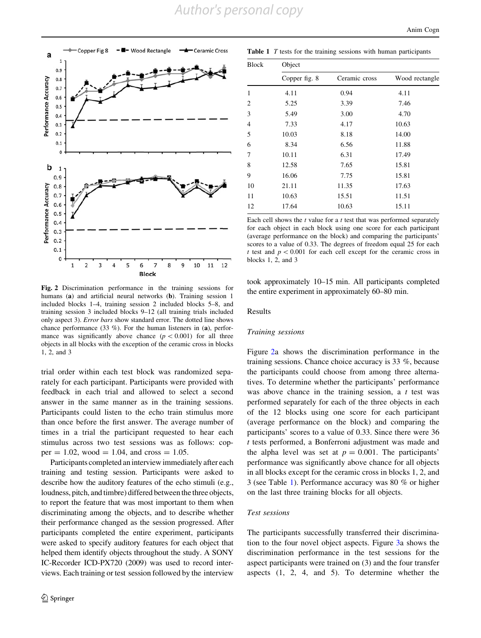

**Block** Fig. 2 Discrimination performance in the training sessions for

humans (a) and artificial neural networks (b). Training session 1 included blocks 1–4, training session 2 included blocks 5–8, and training session 3 included blocks 9–12 (all training trials included only aspect 3). Error bars show standard error. The dotted line shows chance performance (33 %). For the human listeners in (a), performance was significantly above chance  $(p<0.001)$  for all three objects in all blocks with the exception of the ceramic cross in blocks 1, 2, and 3

trial order within each test block was randomized separately for each participant. Participants were provided with feedback in each trial and allowed to select a second answer in the same manner as in the training sessions. Participants could listen to the echo train stimulus more than once before the first answer. The average number of times in a trial the participant requested to hear each stimulus across two test sessions was as follows: copper  $= 1.02$ , wood  $= 1.04$ , and cross  $= 1.05$ .

<span id="page-5-0"></span>Participants completed an interview immediately after each training and testing session. Participants were asked to describe how the auditory features of the echo stimuli (e.g., loudness, pitch, and timbre) differed between the three objects, to report the feature that was most important to them when discriminating among the objects, and to describe whether their performance changed as the session progressed. After participants completed the entire experiment, participants were asked to specify auditory features for each object that helped them identify objects throughout the study. A SONY IC-Recorder ICD-PX720 (2009) was used to record interviews. Each training or test session followed by the interview

| <b>Block</b> | Object        |               |                |  |  |
|--------------|---------------|---------------|----------------|--|--|
|              | Copper fig. 8 | Ceramic cross | Wood rectangle |  |  |
| $\mathbf{1}$ | 4.11          | 0.94          | 4.11           |  |  |
| 2            | 5.25          | 3.39          | 7.46           |  |  |
| 3            | 5.49          | 3.00          | 4.70           |  |  |
| 4            | 7.33          | 4.17          | 10.63          |  |  |
| 5            | 10.03         | 8.18          | 14.00          |  |  |
| 6            | 8.34          | 6.56          | 11.88          |  |  |
| 7            | 10.11         | 6.31          | 17.49          |  |  |
| 8            | 12.58         | 7.65          | 15.81          |  |  |
| 9            | 16.06         | 7.75          | 15.81          |  |  |
| 10           | 21.11         | 11.35         | 17.63          |  |  |
| 11           | 10.63         | 15.51         | 11.51          |  |  |
| 12           | 17.64         | 10.63         | 15.11          |  |  |

Each cell shows the  $t$  value for a  $t$  test that was performed separately for each object in each block using one score for each participant (average performance on the block) and comparing the participants' scores to a value of 0.33. The degrees of freedom equal 25 for each t test and  $p < 0.001$  for each cell except for the ceramic cross in blocks 1, 2, and 3

took approximately 10–15 min. All participants completed the entire experiment in approximately 60–80 min.

#### Results

#### Training sessions

Figure [2](#page-5-0)a shows the discrimination performance in the training sessions. Chance choice accuracy is 33 %, because the participants could choose from among three alternatives. To determine whether the participants' performance was above chance in the training session, a t test was performed separately for each of the three objects in each of the 12 blocks using one score for each participant (average performance on the block) and comparing the participants' scores to a value of 0.33. Since there were 36 t tests performed, a Bonferroni adjustment was made and the alpha level was set at  $p = 0.001$ . The participants' performance was significantly above chance for all objects in all blocks except for the ceramic cross in blocks 1, 2, and 3 (see Table [1\)](#page-5-0). Performance accuracy was 80 % or higher on the last three training blocks for all objects.

## Test sessions

The participants successfully transferred their discrimination to the four novel object aspects. Figure [3a](#page-6-0) shows the discrimination performance in the test sessions for the aspect participants were trained on (3) and the four transfer aspects (1, 2, 4, and 5). To determine whether the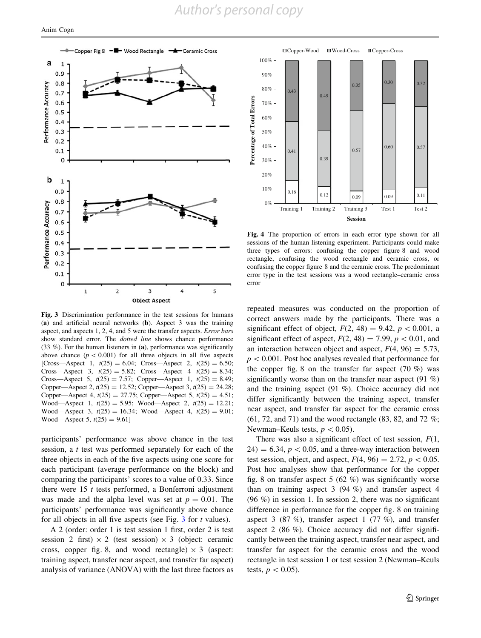

Fig. 3 Discrimination performance in the test sessions for humans (a) and artificial neural networks (b). Aspect 3 was the training aspect, and aspects 1, 2, 4, and 5 were the transfer aspects. Error bars show standard error. The dotted line shows chance performance (33 %). For the human listeners in (a), performance was significantly above chance  $(p < 0.001)$  for all three objects in all five aspects [Cross—Aspect 1,  $t(25) = 6.04$ ; Cross—Aspect 2,  $t(25) = 6.50$ ; Cross—Aspect 3,  $t(25) = 5.82$ ; Cross—Aspect 4  $t(25) = 8.34$ ; Cross—Aspect 5,  $t(25) = 7.57$ ; Copper—Aspect 1,  $t(25) = 8.49$ ; Copper—Aspect 2,  $t(25) = 12.52$ ; Copper—Aspect 3,  $t(25) = 24.28$ ; Copper—Aspect 4,  $t(25) = 27.75$ ; Copper—Aspect 5,  $t(25) = 4.51$ ; Wood—Aspect 1,  $t(25) = 5.95$ ; Wood—Aspect 2,  $t(25) = 12.21$ ; Wood—Aspect 3,  $t(25) = 16.34$ ; Wood—Aspect 4,  $t(25) = 9.01$ ; Wood—Aspect 5,  $t(25) = 9.61$ ]

participants' performance was above chance in the test session, a t test was performed separately for each of the three objects in each of the five aspects using one score for each participant (average performance on the block) and comparing the participants' scores to a value of 0.33. Since there were  $15$  t tests performed, a Bonferroni adjustment was made and the alpha level was set at  $p = 0.01$ . The participants' performance was significantly above chance for all objects in all five aspects (see Fig.  $3$  for t values).

<span id="page-6-0"></span>A 2 (order: order 1 is test session 1 first, order 2 is test session 2 first)  $\times$  2 (test session)  $\times$  3 (object: ceramic cross, copper fig. 8, and wood rectangle)  $\times$  3 (aspect: training aspect, transfer near aspect, and transfer far aspect) analysis of variance (ANOVA) with the last three factors as



Fig. 4 The proportion of errors in each error type shown for all sessions of the human listening experiment. Participants could make three types of errors: confusing the copper figure 8 and wood rectangle, confusing the wood rectangle and ceramic cross, or confusing the copper figure 8 and the ceramic cross. The predominant error type in the test sessions was a wood rectangle–ceramic cross error

repeated measures was conducted on the proportion of correct answers made by the participants. There was a significant effect of object,  $F(2, 48) = 9.42$ ,  $p < 0.001$ , a significant effect of aspect,  $F(2, 48) = 7.99$ ,  $p < 0.01$ , and an interaction between object and aspect,  $F(4, 96) = 5.73$ ,  $p<0.001$ . Post hoc analyses revealed that performance for the copper fig. 8 on the transfer far aspect  $(70\%)$  was significantly worse than on the transfer near aspect (91 %) and the training aspect (91 %). Choice accuracy did not differ significantly between the training aspect, transfer near aspect, and transfer far aspect for the ceramic cross (61, 72, and 71) and the wood rectangle (83, 82, and 72 %; Newman–Keuls tests,  $p < 0.05$ ).

There was also a significant effect of test session,  $F(1, 1)$  $24$ ) = 6.34,  $p < 0.05$ , and a three-way interaction between test session, object, and aspect,  $F(4, 96) = 2.72$ ,  $p < 0.05$ . Post hoc analyses show that performance for the copper fig. 8 on transfer aspect 5 (62 %) was significantly worse than on training aspect 3 (94 %) and transfer aspect 4 (96 %) in session 1. In session 2, there was no significant difference in performance for the copper fig. 8 on training aspect 3 (87 %), transfer aspect 1 (77 %), and transfer aspect 2 (86 %). Choice accuracy did not differ significantly between the training aspect, transfer near aspect, and transfer far aspect for the ceramic cross and the wood rectangle in test session 1 or test session 2 (Newman–Keuls tests,  $p < 0.05$ ).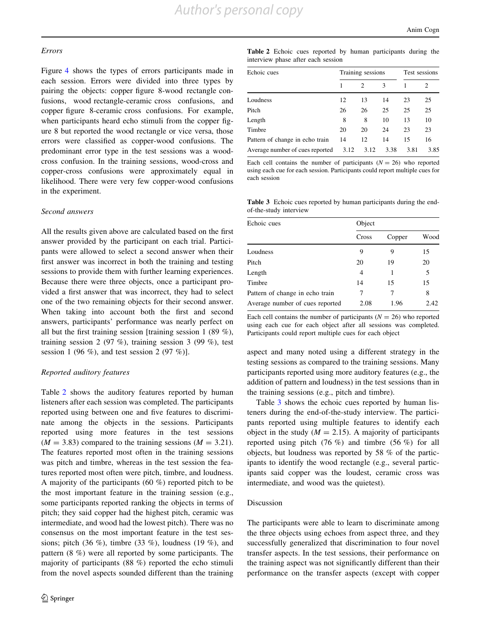# Errors

Figure [4](#page-6-0) shows the types of errors participants made in each session. Errors were divided into three types by pairing the objects: copper figure 8-wood rectangle confusions, wood rectangle-ceramic cross confusions, and copper figure 8-ceramic cross confusions. For example, when participants heard echo stimuli from the copper figure 8 but reported the wood rectangle or vice versa, those errors were classified as copper-wood confusions. The predominant error type in the test sessions was a woodcross confusion. In the training sessions, wood-cross and copper-cross confusions were approximately equal in likelihood. There were very few copper-wood confusions in the experiment.

# Second answers

All the results given above are calculated based on the first answer provided by the participant on each trial. Participants were allowed to select a second answer when their first answer was incorrect in both the training and testing sessions to provide them with further learning experiences. Because there were three objects, once a participant provided a first answer that was incorrect, they had to select one of the two remaining objects for their second answer. When taking into account both the first and second answers, participants' performance was nearly perfect on all but the first training session [training session 1 (89 %), training session 2 (97 %), training session 3 (99 %), test session 1 (96 %), and test session 2 (97 %)].

# Reported auditory features

<span id="page-7-0"></span>Table [2](#page-7-0) shows the auditory features reported by human listeners after each session was completed. The participants reported using between one and five features to discriminate among the objects in the sessions. Participants reported using more features in the test sessions  $(M = 3.83)$  compared to the training sessions  $(M = 3.21)$ . The features reported most often in the training sessions was pitch and timbre, whereas in the test session the features reported most often were pitch, timbre, and loudness. A majority of the participants (60 %) reported pitch to be the most important feature in the training session (e.g., some participants reported ranking the objects in terms of pitch; they said copper had the highest pitch, ceramic was intermediate, and wood had the lowest pitch). There was no consensus on the most important feature in the test sessions; pitch  $(36 \%)$ , timbre  $(33 \%)$ , loudness  $(19 \%)$ , and pattern (8 %) were all reported by some participants. The majority of participants (88 %) reported the echo stimuli from the novel aspects sounded different than the training

Table 2 Echoic cues reported by human participants during the interview phase after each session

| Echoic cues                     | Training sessions |      |      | Test sessions |      |
|---------------------------------|-------------------|------|------|---------------|------|
|                                 |                   | 2    | 3    |               | 2    |
| Loudness                        | 12                | 13   | 14   | 23            | 25   |
| Pitch                           | 26                | 26   | 25   | 25            | 25   |
| Length                          | 8                 | 8    | 10   | 13            | 10   |
| Timbre                          | 20                | 20   | 24   | 23            | 23   |
| Pattern of change in echo train | 14                | 12   | 14   | 15            | 16   |
| Average number of cues reported | 3.12              | 3.12 | 3.38 | 3.81          | 3.85 |

Each cell contains the number of participants  $(N = 26)$  who reported using each cue for each session. Participants could report multiple cues for each session

Table 3 Echoic cues reported by human participants during the endof-the-study interview

| Echoic cues                     | Object |        |       |  |
|---------------------------------|--------|--------|-------|--|
|                                 | Cross  | Copper | Wood  |  |
| Loudness                        | 9      | 9      | 15    |  |
| Pitch                           | 20     | 19     | 20    |  |
| Length                          | 4      | 1      | 5     |  |
| Timbre                          | 14     | 15     | 15    |  |
| Pattern of change in echo train | 7      | 7      | 8     |  |
| Average number of cues reported | 2.08   | 1.96   | 2.42. |  |

Each cell contains the number of participants  $(N = 26)$  who reported using each cue for each object after all sessions was completed. Participants could report multiple cues for each object

aspect and many noted using a different strategy in the testing sessions as compared to the training sessions. Many participants reported using more auditory features (e.g., the addition of pattern and loudness) in the test sessions than in the training sessions (e.g., pitch and timbre).

Table [3](#page-7-0) shows the echoic cues reported by human listeners during the end-of-the-study interview. The participants reported using multiple features to identify each object in the study ( $M = 2.15$ ). A majority of participants reported using pitch (76 %) and timbre (56 %) for all objects, but loudness was reported by 58 % of the participants to identify the wood rectangle (e.g., several participants said copper was the loudest, ceramic cross was intermediate, and wood was the quietest).

# Discussion

The participants were able to learn to discriminate among the three objects using echoes from aspect three, and they successfully generalized that discrimination to four novel transfer aspects. In the test sessions, their performance on the training aspect was not significantly different than their performance on the transfer aspects (except with copper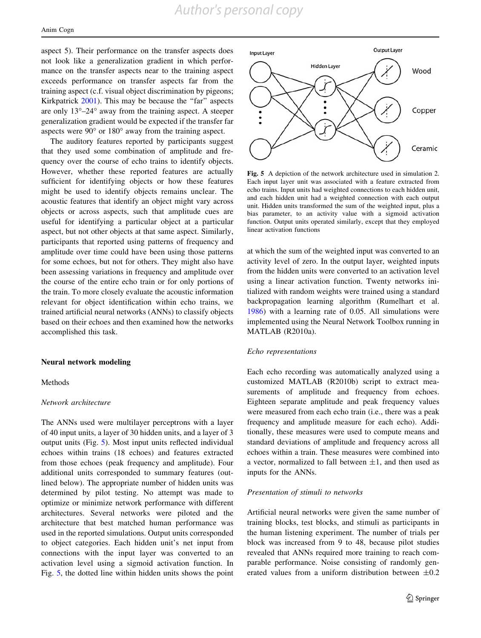aspect 5). Their performance on the transfer aspects does not look like a generalization gradient in which performance on the transfer aspects near to the training aspect exceeds performance on transfer aspects far from the training aspect (c.f. visual object discrimination by pigeons; Kirkpatrick [2001](#page-14-0)). This may be because the "far" aspects are only  $13^{\circ} - 24^{\circ}$  away from the training aspect. A steeper generalization gradient would be expected if the transfer far aspects were  $90^{\circ}$  or  $180^{\circ}$  away from the training aspect.

The auditory features reported by participants suggest that they used some combination of amplitude and frequency over the course of echo trains to identify objects. However, whether these reported features are actually sufficient for identifying objects or how these features might be used to identify objects remains unclear. The acoustic features that identify an object might vary across objects or across aspects, such that amplitude cues are useful for identifying a particular object at a particular aspect, but not other objects at that same aspect. Similarly, participants that reported using patterns of frequency and amplitude over time could have been using those patterns for some echoes, but not for others. They might also have been assessing variations in frequency and amplitude over the course of the entire echo train or for only portions of the train. To more closely evaluate the acoustic information relevant for object identification within echo trains, we trained artificial neural networks (ANNs) to classify objects based on their echoes and then examined how the networks accomplished this task.

# Neural network modeling

# Methods

## Network architecture

<span id="page-8-0"></span>The ANNs used were multilayer perceptrons with a layer of 40 input units, a layer of 30 hidden units, and a layer of 3 output units (Fig. [5](#page-8-0)). Most input units reflected individual echoes within trains (18 echoes) and features extracted from those echoes (peak frequency and amplitude). Four additional units corresponded to summary features (outlined below). The appropriate number of hidden units was determined by pilot testing. No attempt was made to optimize or minimize network performance with different architectures. Several networks were piloted and the architecture that best matched human performance was used in the reported simulations. Output units corresponded to object categories. Each hidden unit's net input from connections with the input layer was converted to an activation level using a sigmoid activation function. In Fig. [5](#page-8-0), the dotted line within hidden units shows the point



Fig. 5 A depiction of the network architecture used in simulation 2. Each input layer unit was associated with a feature extracted from echo trains. Input units had weighted connections to each hidden unit, and each hidden unit had a weighted connection with each output unit. Hidden units transformed the sum of the weighted input, plus a bias parameter, to an activity value with a sigmoid activation function. Output units operated similarly, except that they employed linear activation functions

at which the sum of the weighted input was converted to an activity level of zero. In the output layer, weighted inputs from the hidden units were converted to an activation level using a linear activation function. Twenty networks initialized with random weights were trained using a standard backpropagation learning algorithm (Rumelhart et al. [1986](#page-14-0)) with a learning rate of 0.05. All simulations were implemented using the Neural Network Toolbox running in MATLAB (R2010a).

#### Echo representations

Each echo recording was automatically analyzed using a customized MATLAB (R2010b) script to extract measurements of amplitude and frequency from echoes. Eighteen separate amplitude and peak frequency values were measured from each echo train (i.e., there was a peak frequency and amplitude measure for each echo). Additionally, these measures were used to compute means and standard deviations of amplitude and frequency across all echoes within a train. These measures were combined into a vector, normalized to fall between  $\pm 1$ , and then used as inputs for the ANNs.

#### Presentation of stimuli to networks

Artificial neural networks were given the same number of training blocks, test blocks, and stimuli as participants in the human listening experiment. The number of trials per block was increased from 9 to 48, because pilot studies revealed that ANNs required more training to reach comparable performance. Noise consisting of randomly generated values from a uniform distribution between  $\pm 0.2$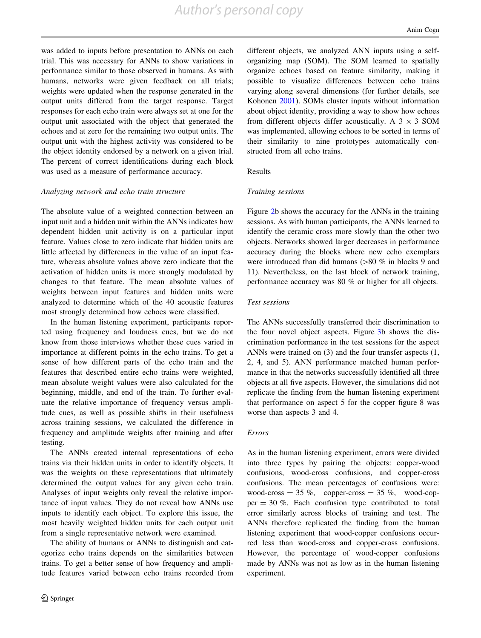was added to inputs before presentation to ANNs on each trial. This was necessary for ANNs to show variations in performance similar to those observed in humans. As with humans, networks were given feedback on all trials; weights were updated when the response generated in the output units differed from the target response. Target responses for each echo train were always set at one for the output unit associated with the object that generated the echoes and at zero for the remaining two output units. The output unit with the highest activity was considered to be the object identity endorsed by a network on a given trial. The percent of correct identifications during each block was used as a measure of performance accuracy.

#### Analyzing network and echo train structure

The absolute value of a weighted connection between an input unit and a hidden unit within the ANNs indicates how dependent hidden unit activity is on a particular input feature. Values close to zero indicate that hidden units are little affected by differences in the value of an input feature, whereas absolute values above zero indicate that the activation of hidden units is more strongly modulated by changes to that feature. The mean absolute values of weights between input features and hidden units were analyzed to determine which of the 40 acoustic features most strongly determined how echoes were classified.

In the human listening experiment, participants reported using frequency and loudness cues, but we do not know from those interviews whether these cues varied in importance at different points in the echo trains. To get a sense of how different parts of the echo train and the features that described entire echo trains were weighted, mean absolute weight values were also calculated for the beginning, middle, and end of the train. To further evaluate the relative importance of frequency versus amplitude cues, as well as possible shifts in their usefulness across training sessions, we calculated the difference in frequency and amplitude weights after training and after testing.

The ANNs created internal representations of echo trains via their hidden units in order to identify objects. It was the weights on these representations that ultimately determined the output values for any given echo train. Analyses of input weights only reveal the relative importance of input values. They do not reveal how ANNs use inputs to identify each object. To explore this issue, the most heavily weighted hidden units for each output unit from a single representative network were examined.

The ability of humans or ANNs to distinguish and categorize echo trains depends on the similarities between trains. To get a better sense of how frequency and amplitude features varied between echo trains recorded from different objects, we analyzed ANN inputs using a selforganizing map (SOM). The SOM learned to spatially organize echoes based on feature similarity, making it possible to visualize differences between echo trains varying along several dimensions (for further details, see Kohonen [2001](#page-14-0)). SOMs cluster inputs without information about object identity, providing a way to show how echoes from different objects differ acoustically. A  $3 \times 3$  SOM was implemented, allowing echoes to be sorted in terms of their similarity to nine prototypes automatically constructed from all echo trains.

# Results

#### Training sessions

Figure [2](#page-5-0)b shows the accuracy for the ANNs in the training sessions. As with human participants, the ANNs learned to identify the ceramic cross more slowly than the other two objects. Networks showed larger decreases in performance accuracy during the blocks where new echo exemplars were introduced than did humans  $(>=80\%$  in blocks 9 and 11). Nevertheless, on the last block of network training, performance accuracy was 80 % or higher for all objects.

# Test sessions

The ANNs successfully transferred their discrimination to the four novel object aspects. Figure [3](#page-6-0)b shows the discrimination performance in the test sessions for the aspect ANNs were trained on (3) and the four transfer aspects (1, 2, 4, and 5). ANN performance matched human performance in that the networks successfully identified all three objects at all five aspects. However, the simulations did not replicate the finding from the human listening experiment that performance on aspect 5 for the copper figure 8 was worse than aspects 3 and 4.

#### Errors

As in the human listening experiment, errors were divided into three types by pairing the objects: copper-wood confusions, wood-cross confusions, and copper-cross confusions. The mean percentages of confusions were: wood-cross  $= 35 \%$ , copper-cross  $= 35 \%$ , wood-copper  $= 30\%$ . Each confusion type contributed to total error similarly across blocks of training and test. The ANNs therefore replicated the finding from the human listening experiment that wood-copper confusions occurred less than wood-cross and copper-cross confusions. However, the percentage of wood-copper confusions made by ANNs was not as low as in the human listening experiment.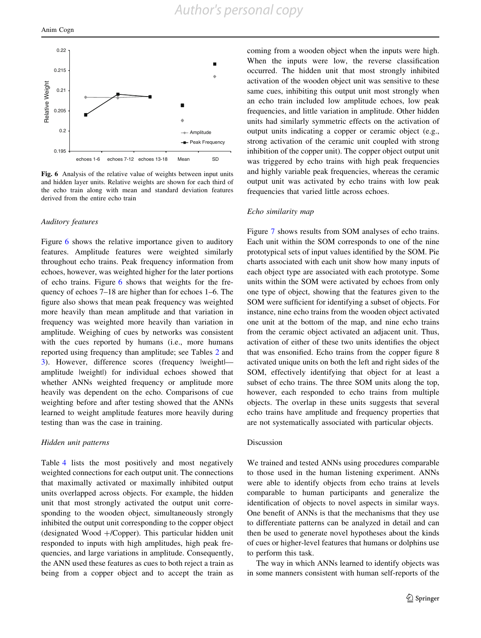

Fig. 6 Analysis of the relative value of weights between input units and hidden layer units. Relative weights are shown for each third of the echo train along with mean and standard deviation features derived from the entire echo train

## Auditory features

Figure [6](#page-10-0) shows the relative importance given to auditory features. Amplitude features were weighted similarly throughout echo trains. Peak frequency information from echoes, however, was weighted higher for the later portions of echo trains. Figure [6](#page-10-0) shows that weights for the frequency of echoes 7–18 are higher than for echoes 1–6. The figure also shows that mean peak frequency was weighted more heavily than mean amplitude and that variation in frequency was weighted more heavily than variation in amplitude. Weighing of cues by networks was consistent with the cues reported by humans (i.e., more humans reported using frequency than amplitude; see Tables [2](#page-7-0) and [3](#page-7-0)). However, difference scores (frequency lweightamplitude |weight|) for individual echoes showed that whether ANNs weighted frequency or amplitude more heavily was dependent on the echo. Comparisons of cue weighting before and after testing showed that the ANNs learned to weight amplitude features more heavily during testing than was the case in training.

## Hidden unit patterns

<span id="page-10-0"></span>Table [4](#page-11-0) lists the most positively and most negatively weighted connections for each output unit. The connections that maximally activated or maximally inhibited output units overlapped across objects. For example, the hidden unit that most strongly activated the output unit corresponding to the wooden object, simultaneously strongly inhibited the output unit corresponding to the copper object (designated Wood  $+$ /Copper). This particular hidden unit responded to inputs with high amplitudes, high peak frequencies, and large variations in amplitude. Consequently, the ANN used these features as cues to both reject a train as being from a copper object and to accept the train as coming from a wooden object when the inputs were high. When the inputs were low, the reverse classification occurred. The hidden unit that most strongly inhibited activation of the wooden object unit was sensitive to these same cues, inhibiting this output unit most strongly when an echo train included low amplitude echoes, low peak frequencies, and little variation in amplitude. Other hidden units had similarly symmetric effects on the activation of output units indicating a copper or ceramic object (e.g., strong activation of the ceramic unit coupled with strong inhibition of the copper unit). The copper object output unit was triggered by echo trains with high peak frequencies and highly variable peak frequencies, whereas the ceramic output unit was activated by echo trains with low peak frequencies that varied little across echoes.

## Echo similarity map

Figure [7](#page-11-0) shows results from SOM analyses of echo trains. Each unit within the SOM corresponds to one of the nine prototypical sets of input values identified by the SOM. Pie charts associated with each unit show how many inputs of each object type are associated with each prototype. Some units within the SOM were activated by echoes from only one type of object, showing that the features given to the SOM were sufficient for identifying a subset of objects. For instance, nine echo trains from the wooden object activated one unit at the bottom of the map, and nine echo trains from the ceramic object activated an adjacent unit. Thus, activation of either of these two units identifies the object that was ensonified. Echo trains from the copper figure 8 activated unique units on both the left and right sides of the SOM, effectively identifying that object for at least a subset of echo trains. The three SOM units along the top, however, each responded to echo trains from multiple objects. The overlap in these units suggests that several echo trains have amplitude and frequency properties that are not systematically associated with particular objects.

## Discussion

We trained and tested ANNs using procedures comparable to those used in the human listening experiment. ANNs were able to identify objects from echo trains at levels comparable to human participants and generalize the identification of objects to novel aspects in similar ways. One benefit of ANNs is that the mechanisms that they use to differentiate patterns can be analyzed in detail and can then be used to generate novel hypotheses about the kinds of cues or higher-level features that humans or dolphins use to perform this task.

The way in which ANNs learned to identify objects was in some manners consistent with human self-reports of the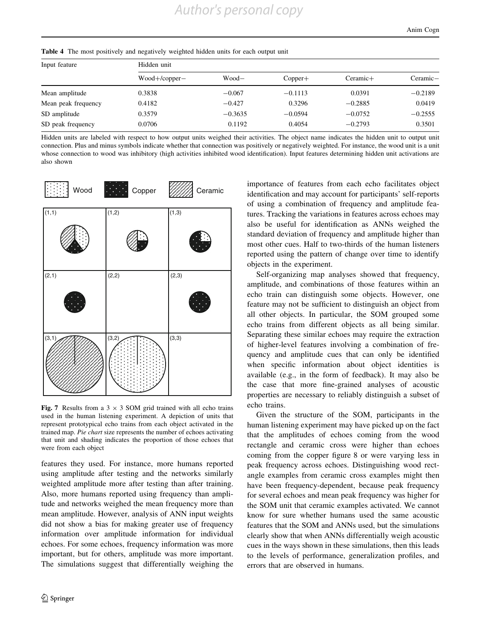Table 4 The most positively and negatively weighted hidden units for each output unit

| Input feature       | Hidden unit     |           |           |            |            |  |
|---------------------|-----------------|-----------|-----------|------------|------------|--|
|                     | $Wood+/copper-$ | Wood-     | $Copper+$ | $Ceramic+$ | $Ceramic-$ |  |
| Mean amplitude      | 0.3838          | $-0.067$  | $-0.1113$ | 0.0391     | $-0.2189$  |  |
| Mean peak frequency | 0.4182          | $-0.427$  | 0.3296    | $-0.2885$  | 0.0419     |  |
| SD amplitude        | 0.3579          | $-0.3635$ | $-0.0594$ | $-0.0752$  | $-0.2555$  |  |
| SD peak frequency   | 0.0706          | 0.1192    | 0.4054    | $-0.2793$  | 0.3501     |  |

Hidden units are labeled with respect to how output units weighed their activities. The object name indicates the hidden unit to output unit connection. Plus and minus symbols indicate whether that connection was positively or negatively weighted. For instance, the wood unit is a unit whose connection to wood was inhibitory (high activities inhibited wood identification). Input features determining hidden unit activations are also shown



Fig. 7 Results from a  $3 \times 3$  SOM grid trained with all echo trains used in the human listening experiment. A depiction of units that represent prototypical echo trains from each object activated in the trained map. Pie chart size represents the number of echoes activating that unit and shading indicates the proportion of those echoes that were from each object

<span id="page-11-0"></span>features they used. For instance, more humans reported using amplitude after testing and the networks similarly weighted amplitude more after testing than after training. Also, more humans reported using frequency than amplitude and networks weighed the mean frequency more than mean amplitude. However, analysis of ANN input weights did not show a bias for making greater use of frequency information over amplitude information for individual echoes. For some echoes, frequency information was more important, but for others, amplitude was more important. The simulations suggest that differentially weighing the importance of features from each echo facilitates object identification and may account for participants' self-reports of using a combination of frequency and amplitude features. Tracking the variations in features across echoes may also be useful for identification as ANNs weighed the standard deviation of frequency and amplitude higher than most other cues. Half to two-thirds of the human listeners reported using the pattern of change over time to identify objects in the experiment.

Self-organizing map analyses showed that frequency, amplitude, and combinations of those features within an echo train can distinguish some objects. However, one feature may not be sufficient to distinguish an object from all other objects. In particular, the SOM grouped some echo trains from different objects as all being similar. Separating these similar echoes may require the extraction of higher-level features involving a combination of frequency and amplitude cues that can only be identified when specific information about object identities is available (e.g., in the form of feedback). It may also be the case that more fine-grained analyses of acoustic properties are necessary to reliably distinguish a subset of echo trains.

Given the structure of the SOM, participants in the human listening experiment may have picked up on the fact that the amplitudes of echoes coming from the wood rectangle and ceramic cross were higher than echoes coming from the copper figure 8 or were varying less in peak frequency across echoes. Distinguishing wood rectangle examples from ceramic cross examples might then have been frequency-dependent, because peak frequency for several echoes and mean peak frequency was higher for the SOM unit that ceramic examples activated. We cannot know for sure whether humans used the same acoustic features that the SOM and ANNs used, but the simulations clearly show that when ANNs differentially weigh acoustic cues in the ways shown in these simulations, then this leads to the levels of performance, generalization profiles, and errors that are observed in humans.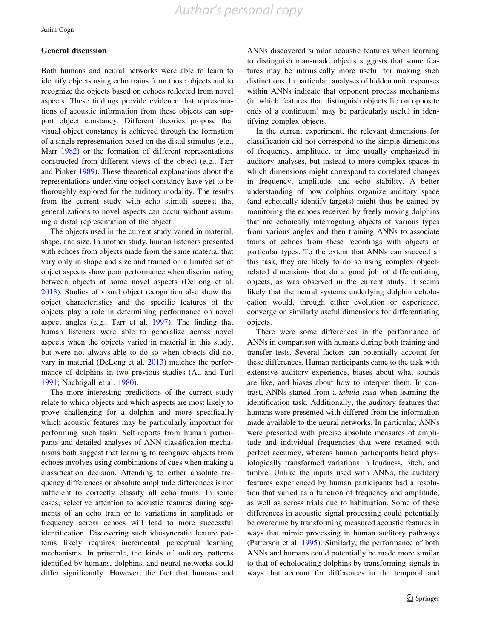# General discussion

Both humans and neural networks were able to learn to identify objects using echo trains from those objects and to recognize the objects based on echoes reflected from novel aspects. These findings provide evidence that representations of acoustic information from these objects can support object constancy. Different theories propose that visual object constancy is achieved through the formation of a single representation based on the distal stimulus (e.g., Marr [1982](#page-14-0)) or the formation of different representations constructed from different views of the object (e.g., Tarr and Pinker [1989](#page-14-0)). These theoretical explanations about the representations underlying object constancy have yet to be thoroughly explored for the auditory modality. The results from the current study with echo stimuli suggest that generalizations to novel aspects can occur without assuming a distal representation of the object.

The objects used in the current study varied in material, shape, and size. In another study, human listeners presented with echoes from objects made from the same material that vary only in shape and size and trained on a limited set of object aspects show poor performance when discriminating between objects at some novel aspects (DeLong et al. [2013\)](#page-14-0). Studies of visual object recognition also show that object characteristics and the specific features of the objects play a role in determining performance on novel aspect angles (e.g., Tarr et al. [1997](#page-14-0)). The finding that human listeners were able to generalize across novel aspects when the objects varied in material in this study, but were not always able to do so when objects did not vary in material (DeLong et al. [2013\)](#page-14-0) matches the performance of dolphins in two previous studies (Au and Turl [1991;](#page-13-0) Nachtigall et al. [1980\)](#page-14-0).

The more interesting predictions of the current study relate to which objects and which aspects are most likely to prove challenging for a dolphin and more specifically which acoustic features may be particularly important for performing such tasks. Self-reports from human participants and detailed analyses of ANN classification mechanisms both suggest that learning to recognize objects from echoes involves using combinations of cues when making a classification decision. Attending to either absolute frequency differences or absolute amplitude differences is not sufficient to correctly classify all echo trains. In some cases, selective attention to acoustic features during segments of an echo train or to variations in amplitude or frequency across echoes will lead to more successful identification. Discovering such idiosyncratic feature patterns likely requires incremental perceptual learning mechanisms. In principle, the kinds of auditory patterns identified by humans, dolphins, and neural networks could differ significantly. However, the fact that humans and

ANNs discovered similar acoustic features when learning to distinguish man-made objects suggests that some features may be intrinsically more useful for making such distinctions. In particular, analyses of hidden unit responses within ANNs indicate that opponent process mechanisms (in which features that distinguish objects lie on opposite ends of a continuum) may be particularly useful in identifying complex objects.

In the current experiment, the relevant dimensions for classification did not correspond to the simple dimensions of frequency, amplitude, or time usually emphasized in auditory analyses, but instead to more complex spaces in which dimensions might correspond to correlated changes in frequency, amplitude, and echo stability. A better understanding of how dolphins organize auditory space (and echoically identify targets) might thus be gained by monitoring the echoes received by freely moving dolphins that are echoically interrogating objects of various types from various angles and then training ANNs to associate trains of echoes from these recordings with objects of particular types. To the extent that ANNs can succeed at this task, they are likely to do so using complex objectrelated dimensions that do a good job of differentiating objects, as was observed in the current study. It seems likely that the neural systems underlying dolphin echolocation would, through either evolution or experience, converge on similarly useful dimensions for differentiating objects.

There were some differences in the performance of ANNs in comparison with humans during both training and transfer tests. Several factors can potentially account for these differences. Human participants came to the task with extensive auditory experience, biases about what sounds are like, and biases about how to interpret them. In contrast, ANNs started from a tabula rasa when learning the identification task. Additionally, the auditory features that humans were presented with differed from the information made available to the neural networks. In particular, ANNs were presented with precise absolute measures of amplitude and individual frequencies that were retained with perfect accuracy, whereas human participants heard physiologically transformed variations in loudness, pitch, and timbre. Unlike the inputs used with ANNs, the auditory features experienced by human participants had a resolution that varied as a function of frequency and amplitude, as well as across trials due to habituation. Some of these differences in acoustic signal processing could potentially be overcome by transforming measured acoustic features in ways that mimic processing in human auditory pathways (Patterson et al. [1995](#page-14-0)). Similarly, the performance of both ANNs and humans could potentially be made more similar to that of echolocating dolphins by transforming signals in ways that account for differences in the temporal and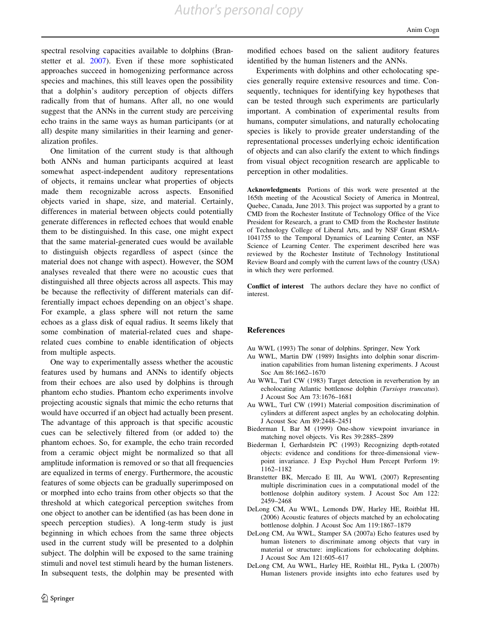spectral resolving capacities available to dolphins (Branstetter et al. 2007). Even if these more sophisticated approaches succeed in homogenizing performance across species and machines, this still leaves open the possibility that a dolphin's auditory perception of objects differs radically from that of humans. After all, no one would suggest that the ANNs in the current study are perceiving echo trains in the same ways as human participants (or at all) despite many similarities in their learning and generalization profiles.

One limitation of the current study is that although both ANNs and human participants acquired at least somewhat aspect-independent auditory representations of objects, it remains unclear what properties of objects made them recognizable across aspects. Ensonified objects varied in shape, size, and material. Certainly, differences in material between objects could potentially generate differences in reflected echoes that would enable them to be distinguished. In this case, one might expect that the same material-generated cues would be available to distinguish objects regardless of aspect (since the material does not change with aspect). However, the SOM analyses revealed that there were no acoustic cues that distinguished all three objects across all aspects. This may be because the reflectivity of different materials can differentially impact echoes depending on an object's shape. For example, a glass sphere will not return the same echoes as a glass disk of equal radius. It seems likely that some combination of material-related cues and shaperelated cues combine to enable identification of objects from multiple aspects.

One way to experimentally assess whether the acoustic features used by humans and ANNs to identify objects from their echoes are also used by dolphins is through phantom echo studies. Phantom echo experiments involve projecting acoustic signals that mimic the echo returns that would have occurred if an object had actually been present. The advantage of this approach is that specific acoustic cues can be selectively filtered from (or added to) the phantom echoes. So, for example, the echo train recorded from a ceramic object might be normalized so that all amplitude information is removed or so that all frequencies are equalized in terms of energy. Furthermore, the acoustic features of some objects can be gradually superimposed on or morphed into echo trains from other objects so that the threshold at which categorical perception switches from one object to another can be identified (as has been done in speech perception studies). A long-term study is just beginning in which echoes from the same three objects used in the current study will be presented to a dolphin subject. The dolphin will be exposed to the same training stimuli and novel test stimuli heard by the human listeners. In subsequent tests, the dolphin may be presented with

modified echoes based on the salient auditory features identified by the human listeners and the ANNs.

Experiments with dolphins and other echolocating species generally require extensive resources and time. Consequently, techniques for identifying key hypotheses that can be tested through such experiments are particularly important. A combination of experimental results from humans, computer simulations, and naturally echolocating species is likely to provide greater understanding of the representational processes underlying echoic identification of objects and can also clarify the extent to which findings from visual object recognition research are applicable to perception in other modalities.

Acknowledgments Portions of this work were presented at the 165th meeting of the Acoustical Society of America in Montreal, Quebec, Canada, June 2013. This project was supported by a grant to CMD from the Rochester Institute of Technology Office of the Vice President for Research, a grant to CMD from the Rochester Institute of Technology College of Liberal Arts, and by NSF Grant #SMA-1041755 to the Temporal Dynamics of Learning Center, an NSF Science of Learning Center. The experiment described here was reviewed by the Rochester Institute of Technology Institutional Review Board and comply with the current laws of the country (USA) in which they were performed.

Conflict of interest The authors declare they have no conflict of interest.

# References

- Au WWL (1993) The sonar of dolphins. Springer, New York
- Au WWL, Martin DW (1989) Insights into dolphin sonar discrimination capabilities from human listening experiments. J Acoust Soc Am 86:1662–1670
- Au WWL, Turl CW (1983) Target detection in reverberation by an echolocating Atlantic bottlenose dolphin (Tursiops truncatus). J Acoust Soc Am 73:1676–1681
- Au WWL, Turl CW (1991) Material composition discrimination of cylinders at different aspect angles by an echolocating dolphin. J Acoust Soc Am 89:2448–2451
- Biederman I, Bar M (1999) One-show viewpoint invariance in matching novel objects. Vis Res 39:2885–2899
- Biederman I, Gerhardstein PC (1993) Recognizing depth-rotated objects: evidence and conditions for three-dimensional viewpoint invariance. J Exp Psychol Hum Percept Perform 19: 1162–1182
- Branstetter BK, Mercado E III, Au WWL (2007) Representing multiple discrimination cues in a computational model of the bottlenose dolphin auditory system. J Acoust Soc Am 122: 2459–2468
- DeLong CM, Au WWL, Lemonds DW, Harley HE, Roitblat HL (2006) Acoustic features of objects matched by an echolocating bottlenose dolphin. J Acoust Soc Am 119:1867–1879
- DeLong CM, Au WWL, Stamper SA (2007a) Echo features used by human listeners to discriminate among objects that vary in material or structure: implications for echolocating dolphins. J Acoust Soc Am 121:605–617
- <span id="page-13-0"></span>DeLong CM, Au WWL, Harley HE, Roitblat HL, Pytka L (2007b) Human listeners provide insights into echo features used by